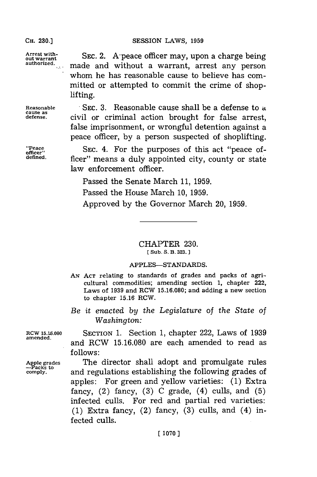**Arrest with-**

## **CH. 230.) SESSION** LAWS, **1959**

SEC. 2. A-peace officer may, upon a charge being made and without a warrant, arrest any person whom he has reasonable cause to believe has committed or attempted to commit the crime of shoplifting.

**Reasonable** SEC. **3.** Reasonable cause shall be a defense to a **cause as defense,** civil or criminal action brought for false arrest, false imprisonment, or wrongful detention against a peace officer, **by** a person suspected of shoplifting.

*"Peace SEC. 4. For the purposes of this act "peace of-<br>
officer" centre of the purposes of this act "peace of*ficer" means a duly appointed city, county or state law enforcement officer.

Passed the Senate March **11, 1959.**

Passed the House March **10, 1959.**

Approved **by** the Governor March 20, **1959.**

CHAPTER **230. (Sub. S. B. 323.]**

## **APPLES-STANDARDS.**

- **AN ACT** relating to standards of grades and packs of agricultural commodities; amending section **1,** chapter 222, Laws of **1939** and RCW **15.16.080;** and adding a new section to chapter **15.16** RCW.
- *Be it enacted by the Legislature of the State of* Washington:

**RCW 15.16.080** SECTION **1.** Section **1,** chapter 222, Laws of **1939** and RCW 15.16.080 are each amended to read as **follows:**

Apple grades **The director shall adopt and promulgate rules -Packs t comply,** and regulations establishing the following grades of apples: For green and yellow varieties: **(1)** Extra fancy, (2) fancy, **(3) C** grade, (4) culls, and **(5)** infected culls. For red and partial red varieties: **(1)** Extra fancy, (2) fancy, **(3)** culls, and (4) infected culls.